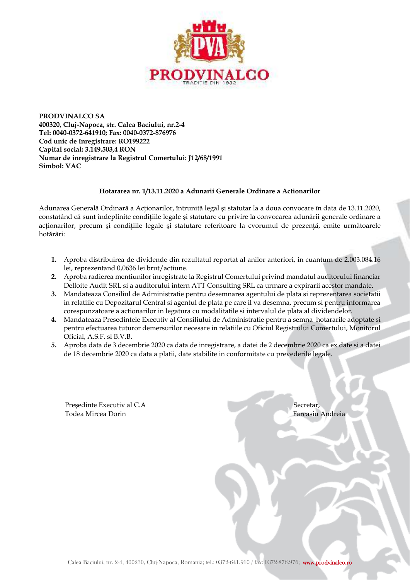

**PRODVINALCO SA 400320, Cluj-Napoca, str. Calea Baciului, nr.2-4 Tel: 0040-0372-641910; Fax: 0040-0372-876976 Cod unic de înregistrare: RO199222 Capital social: 3.149.503,4 RON Numar de inregistrare la Registrul Comertului: J12/68/1991 Simbol: VAC** 

## **Hotararea nr. 1/13.11.2020 a Adunarii Generale Ordinare a Actionarilor**

Adunarea Generală Ordinară a Actionarilor, întrunită legal și statutar la a doua convocare în data de 13.11.2020, constatând că sunt îndeplinite conditiile legale și statutare cu privire la convocarea adunării generale ordinare a acționarilor, precum și condițiile legale și statutare referitoare la cvorumul de prezență, emite următoarele hotărâri:

- **1.** Aproba distribuirea de dividende din rezultatul reportat al anilor anteriori, in cuantum de 2.003.084.16 lei, reprezentand 0,0636 lei brut/actiune.
- **2.** Aproba radierea mentiunilor inregistrate la Registrul Comertului privind mandatul auditorului financiar Delloite Audit SRL si a auditorului intern ATT Consulting SRL ca urmare a expirarii acestor mandate.
- **3.** Mandateaza Consiliul de Administratie pentru desemnarea agentului de plata si reprezentarea societatii in relatiile cu Depozitarul Central si agentul de plata pe care il va desemna, precum si pentru informarea corespunzatoare a actionarilor in legatura cu modalitatile si intervalul de plata al dividendelor.
- **4.** Mandateaza Presedintele Executiv al Consiliului de Administratie pentru a semna hotararile adoptate si pentru efectuarea tuturor demersurilor necesare in relatiile cu Oficiul Registrului Comertului, Monitorul Oficial, A.S.F. si B.V.B.
- **5.** Aproba data de 3 decembrie 2020 ca data de inregistrare, a datei de 2 decembrie 2020 ca ex date si a datei de 18 decembrie 2020 ca data a platii, date stabilite in conformitate cu prevederile legale.

Presedinte Executiv al C.A Secretar, Todea Mircea Dorin Farcasiu Andreia